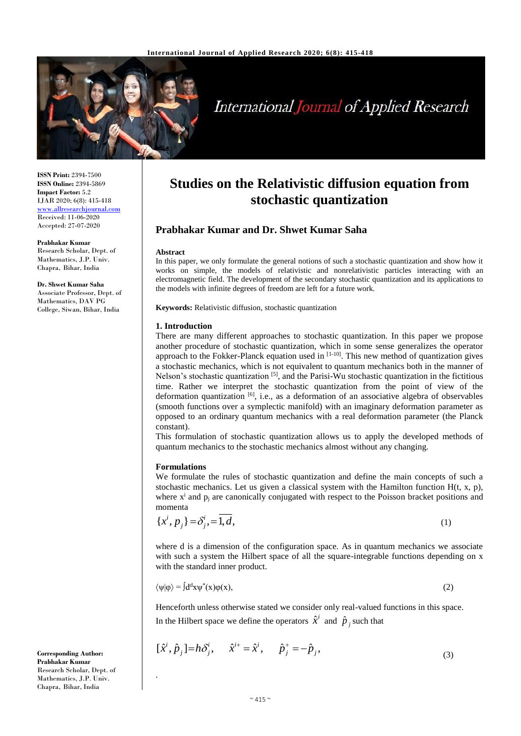

# International Journal of Applied Research

**ISSN Print:** 2394-7500 **ISSN Online:** 2394-5869 **Impact Factor:** 5.2 IJAR 2020; 6(8): 415-418 <www.allresearchjournal.com> Received: 11-06-2020 Accepted: 27-07-2020

**Prabhakar Kumar** Research Scholar, Dept. of Mathematics, J.P. Univ. Chapra, Bihar, India

**Dr. Shwet Kumar Saha** Associate Professor, Dept. of Mathematics, DAV PG College, Siwan, Bihar, India

# **Studies on the Relativistic diffusion equation from stochastic quantization**

## **Prabhakar Kumar and Dr. Shwet Kumar Saha**

#### **Abstract**

In this paper, we only formulate the general notions of such a stochastic quantization and show how it works on simple, the models of relativistic and nonrelativistic particles interacting with an electromagnetic field. The development of the secondary stochastic quantization and its applications to the models with infinite degrees of freedom are left for a future work.

**Keywords:** Relativistic diffusion, stochastic quantization

#### **1. Introduction**

There are many different approaches to stochastic quantization. In this paper we propose another procedure of stochastic quantization, which in some sense generalizes the operator approach to the Fokker-Planck equation used in [1-10]. This new method of quantization gives a stochastic mechanics, which is not equivalent to quantum mechanics both in the manner of Nelson's stochastic quantization <sup>[5]</sup>, and the Parisi-Wu stochastic quantization in the fictitious time. Rather we interpret the stochastic quantization from the point of view of the deformation quantization  $[6]$ , i.e., as a deformation of an associative algebra of observables (smooth functions over a symplectic manifold) with an imaginary deformation parameter as opposed to an ordinary quantum mechanics with a real deformation parameter (the Planck constant).

This formulation of stochastic quantization allows us to apply the developed methods of quantum mechanics to the stochastic mechanics almost without any changing.

### **Formulations**

.

We formulate the rules of stochastic quantization and define the main concepts of such a stochastic mechanics. Let us given a classical system with the Hamilton function  $H(t, x, p)$ , where  $x^i$  and  $p_j$  are canonically conjugated with respect to the Poisson bracket positions and momenta

 $\lambda$ 

$$
\{x^i, p_j\} = \delta^i_j = \overline{1, d},\tag{1}
$$

where d is a dimension of the configuration space. As in quantum mechanics we associate with such a system the Hilbert space of all the square-integrable functions depending on x with the standard inner product.

$$
\langle \psi | \phi \rangle = \int d^d x \psi^*(x) \phi(x), \tag{2}
$$

Henceforth unless otherwise stated we consider only real-valued functions in this space. In the Hilbert space we define the operators  $\hat{x}^i$  and  $\hat{p}_j$  such that

$$
[\hat{x}^i, \hat{p}_j] = h\delta^i_j, \qquad \hat{x}^{i+} = \hat{x}^i, \qquad \hat{p}^+_j = -\hat{p}_j,
$$
\n(3)

**Corresponding Author: Prabhakar Kumar** Research Scholar, Dept. of Mathematics, J.P. Univ. Chapra, Bihar, India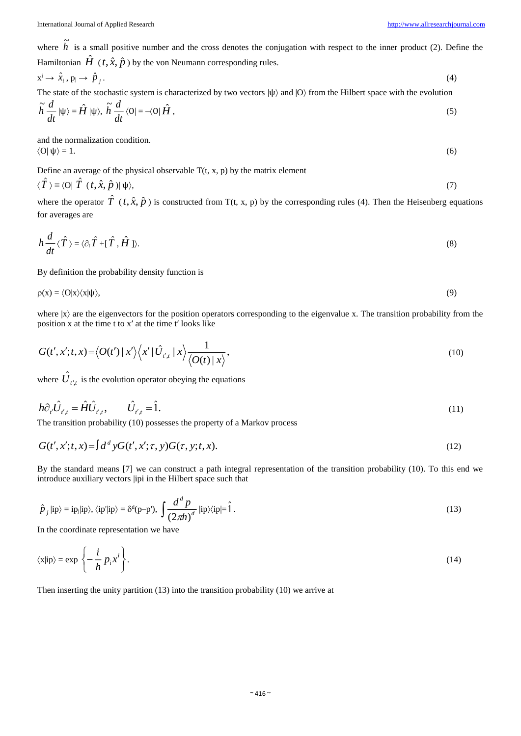where  $\tilde{h}$  is a small positive number and the cross denotes the conjugation with respect to the inner product (2). Define the Hamiltonian  $\hat{H}$  (*t*,  $\hat{x}$ ,  $\hat{p}$  ) by the von Neumann corresponding rules.

$$
\dot{x}^i \to \hat{x}_i, \dot{p}_j \to \hat{p}_j. \tag{4}
$$

The state of the stochastic system is characterized by two vectors  $|\psi\rangle$  and  $|0\rangle$  from the Hilbert space with the evolution *d*

$$
\widetilde{h}\frac{d}{dt}|\psi\rangle = \widehat{H}|\psi\rangle, \ \widetilde{h}\frac{d}{dt}\langle 0| = -\langle 0|\hat{H},\rangle
$$
\n(5)

and the normalization condition.  $\langle O|\psi\rangle = 1.$  (6)

Define an average of the physical observable  $T(t, x, p)$  by the matrix element

$$
\langle \hat{T} \rangle \equiv \langle O | \hat{T} (t, \hat{x}, \hat{p}) | \psi \rangle, \tag{7}
$$

where the operator  $\hat{T}$  ( $t, \hat{x}, \hat{p}$ ) is constructed from T(t, x, p) by the corresponding rules (4). Then the Heisenberg equations for averages are

$$
h\frac{d}{dt}\langle \hat{T}\rangle = \langle \partial_t \hat{T} + [\hat{T}, \hat{H}]\rangle.
$$
 (8)

By definition the probability density function is

$$
\rho(x) = \langle O|x\rangle\langle x|\psi\rangle,\tag{9}
$$

where  $|x\rangle$  are the eigenvectors for the position operators corresponding to the eigenvalue x. The transition probability from the position x at the time t to x′ at the time t′ looks like

$$
G(t',x';t,x) = \langle O(t') | x' \rangle \langle x' | \hat{U}_{t',t} | x \rangle \frac{1}{\langle O(t) | x \rangle},\tag{10}
$$

where  $U_{t^{\prime},t}$  $\hat{J}_{t,t}$  is the evolution operator obeying the equations

$$
h\partial_{t'}\hat{U}_{t',t} = \hat{H}\hat{U}_{t',t}, \qquad \hat{U}_{t',t} = \hat{1}.
$$
\n(11)

The transition probability (10) possesses the property of a Markov process

$$
G(t', x'; t, x) = \int d^d y G(t', x'; \tau, y) G(\tau, y; t, x). \tag{12}
$$

By the standard means [7] we can construct a path integral representation of the transition probability (10). To this end we introduce auxiliary vectors |ipi in the Hilbert space such that

$$
\hat{p}_j |\text{ip}\rangle = \text{ip}_j |\text{ip}\rangle, \langle \text{ip}^{\prime} |\text{ip}\rangle = \delta^d (p - p^{\prime}), \int \frac{d^d p}{(2\pi h)^d} |\text{ip}\rangle \langle \text{ip}| = \hat{1} \,.
$$
\n(13)

In the coordinate representation we have

$$
\langle x | i p \rangle = \exp \left\{ -\frac{i}{h} p_i x^i \right\}.
$$
 (14)

Then inserting the unity partition (13) into the transition probability (10) we arrive at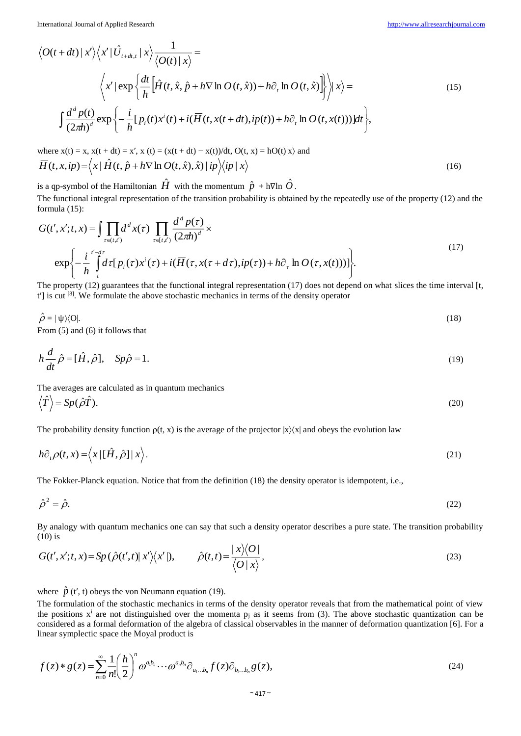(16)

$$
\langle O(t+dt) | x' \rangle \langle x' | \hat{U}_{t+dt,t} | x \rangle \frac{1}{\langle O(t) | x \rangle} =
$$
  

$$
\langle x' | \exp \left\{ \frac{dt}{h} \Big[ \hat{H}(t, \hat{x}, \hat{p} + h \nabla \ln O(t, \hat{x})) + h \partial_t \ln O(t, \hat{x}) \Big] \rangle \Big| x \rangle =
$$
  

$$
\int \frac{d^d p(t)}{(2\pi h)^d} \exp \left\{ -\frac{i}{h} [p_i(t) x^i(t) + i(\overline{H}(t, x(t+dt), ip(t)) + h \partial_t \ln O(t, x(t)))] dt \right\},
$$
 (15)

where  $x(t) = x$ ,  $x(t + dt) = x'$ ,  $x(t) = (x(t + dt) - x(t))/dt$ ,  $Q(t, x) = hQ(t)|x\rangle$  and  $\overline{H}(t, x, ip) = \langle x | \hat{H}(t, \hat{p} + h\nabla \ln O(t, \hat{x}), \hat{x}) | ip \rangle \langle ip | x \rangle$ 

is a qp-symbol of the Hamiltonian  $\hat{H}$  with the momentum  $\hat{p}$  + h∇ln  $\hat{O}$ .

The functional integral representation of the transition probability is obtained by the repeatedly use of the property (12) and the formula (15):

$$
G(t', x'; t, x) = \int \prod_{\tau \in (t, t')} d^d x(\tau) \prod_{\tau \in [t, t']} \frac{d^d p(\tau)}{(2\pi h)^d} \times
$$
  
\n
$$
\exp \left\{ -\frac{i}{h} \int_{t}^{t'-d\tau} d\tau [p_i(\tau) x^i(\tau) + i(\overline{H}(\tau, x(\tau + d\tau), ip(\tau)) + h\partial_{\tau} \ln O(\tau, x(t)))] \right\}.
$$
\n(17)

The property (12) guarantees that the functional integral representation (17) does not depend on what slices the time interval [t,  $t'$ ] is cut  $^{[8]}$ . We formulate the above stochastic mechanics in terms of the density operator

 $\hat{\rho}$  $=$   $|\psi\rangle$ (O|. (18)

From (5) and (6) it follows that

$$
h\frac{d}{dt}\hat{\rho} = [\hat{H}, \hat{\rho}], \quad Sp\hat{\rho} = 1.
$$
\n(19)

The averages are calculated as in quantum mechanics

$$
\left\langle \hat{T} \right\rangle = Sp(\hat{\rho}\hat{T}). \tag{20}
$$

The probability density function  $\rho(t, x)$  is the average of the projector  $|x\rangle\langle x|$  and obeys the evolution law

$$
h\partial_t \rho(t, x) = \langle x | [\hat{H}, \hat{\rho}] | x \rangle.
$$
 (21)

The Fokker-Planck equation. Notice that from the definition (18) the density operator is idempotent, i.e.,

$$
\hat{\rho}^2 = \hat{\rho}.\tag{22}
$$

By analogy with quantum mechanics one can say that such a density operator describes a pure state. The transition probability (10) is  $\ddot{\phantom{0}}$ 

$$
G(t', x'; t, x) = Sp\left(\hat{\rho}(t', t) | x'\rangle\langle x' | \right), \qquad \hat{\rho}(t, t) = \frac{| x \rangle\langle O|}{\langle O | x \rangle}, \tag{23}
$$

where  $\hat{p}$  (t', t) obeys the von Neumann equation (19).

The formulation of the stochastic mechanics in terms of the density operator reveals that from the mathematical point of view the positions  $x^i$  are not distinguished over the momenta  $p_j$  as it seems from (3). The above stochastic quantization can be considered as a formal deformation of the algebra of classical observables in the manner of deformation quantization [6]. For a linear symplectic space the Moyal product is

$$
f(z) * g(z) = \sum_{n=0}^{\infty} \frac{1}{n!} \left(\frac{h}{2}\right)^n \omega^{a_1 b_1} \cdots \omega^{a_n b_n} \partial_{a_1 \ldots b_n} f(z) \partial_{b_1 \ldots b_n} g(z), \tag{24}
$$